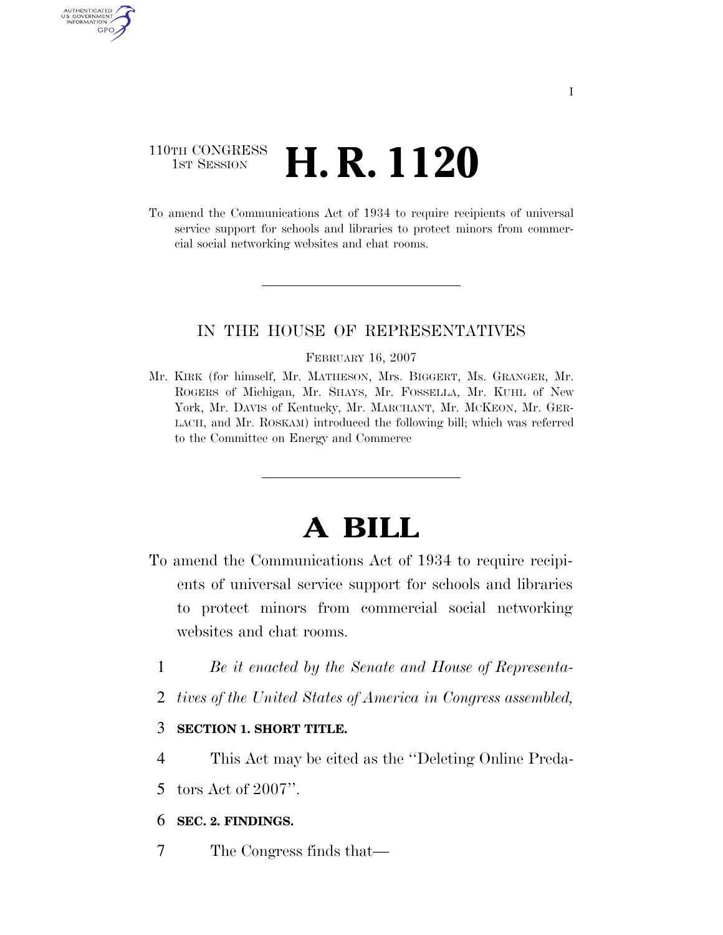# 110TH CONGRESS **1st Session H. R. 1120**

AUTHENTICATED U.S. GOVERNMENT GPO

> To amend the Communications Act of 1934 to require recipients of universal service support for schools and libraries to protect minors from commercial social networking websites and chat rooms.

### IN THE HOUSE OF REPRESENTATIVES

#### FEBRUARY 16, 2007

Mr. KIRK (for himself, Mr. MATHESON, Mrs. BIGGERT, Ms. GRANGER, Mr. ROGERS of Michigan, Mr. SHAYS, Mr. FOSSELLA, Mr. KUHL of New York, Mr. DAVIS of Kentucky, Mr. MARCHANT, Mr. MCKEON, Mr. GER-LACH, and Mr. ROSKAM) introduced the following bill; which was referred to the Committee on Energy and Commerce

# **A BILL**

- To amend the Communications Act of 1934 to require recipients of universal service support for schools and libraries to protect minors from commercial social networking websites and chat rooms.
	- 1 *Be it enacted by the Senate and House of Representa-*
	- 2 *tives of the United States of America in Congress assembled,*
	- 3 **SECTION 1. SHORT TITLE.**
	- 4 This Act may be cited as the ''Deleting Online Preda-
	- 5 tors Act of 2007''.
	- 6 **SEC. 2. FINDINGS.**
	- 7 The Congress finds that—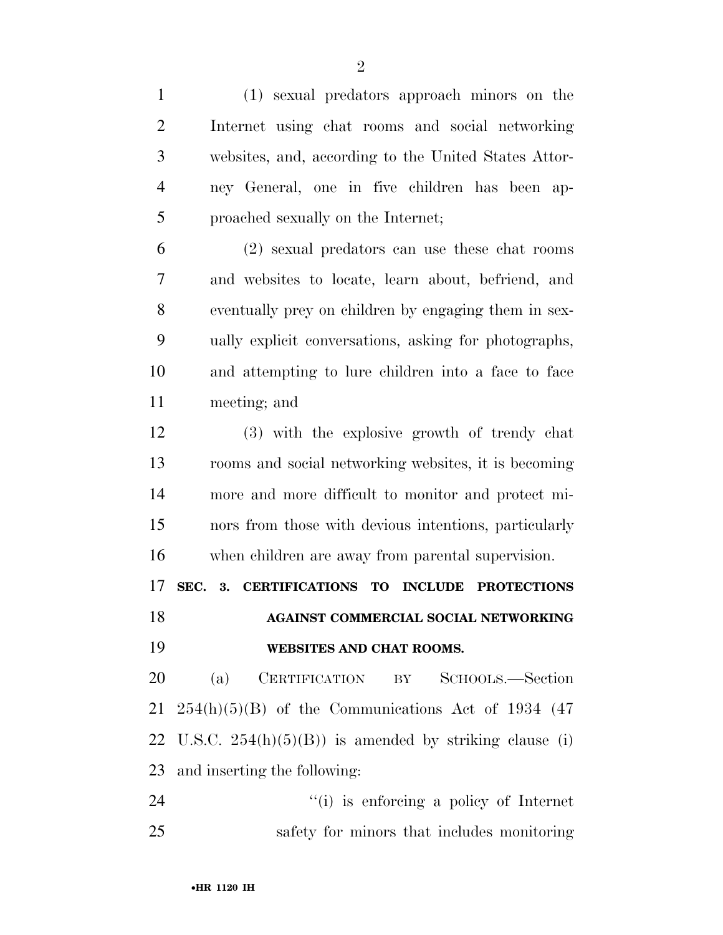(1) sexual predators approach minors on the Internet using chat rooms and social networking websites, and, according to the United States Attor- ney General, one in five children has been ap-proached sexually on the Internet;

 (2) sexual predators can use these chat rooms and websites to locate, learn about, befriend, and eventually prey on children by engaging them in sex- ually explicit conversations, asking for photographs, and attempting to lure children into a face to face meeting; and

 (3) with the explosive growth of trendy chat rooms and social networking websites, it is becoming more and more difficult to monitor and protect mi- nors from those with devious intentions, particularly when children are away from parental supervision.

**SEC. 3. CERTIFICATIONS TO INCLUDE PROTECTIONS** 

**AGAINST COMMERCIAL SOCIAL NETWORKING** 

## **WEBSITES AND CHAT ROOMS.**

 (a) CERTIFICATION BY SCHOOLS.—Section  $21\quad 254(h)(5)(B)$  of the Communications Act of 1934 (47) 22 U.S.C.  $254(h)(5)(B)$  is amended by striking clause (i) and inserting the following:

24  $(1)$  is enforcing a policy of Internet safety for minors that includes monitoring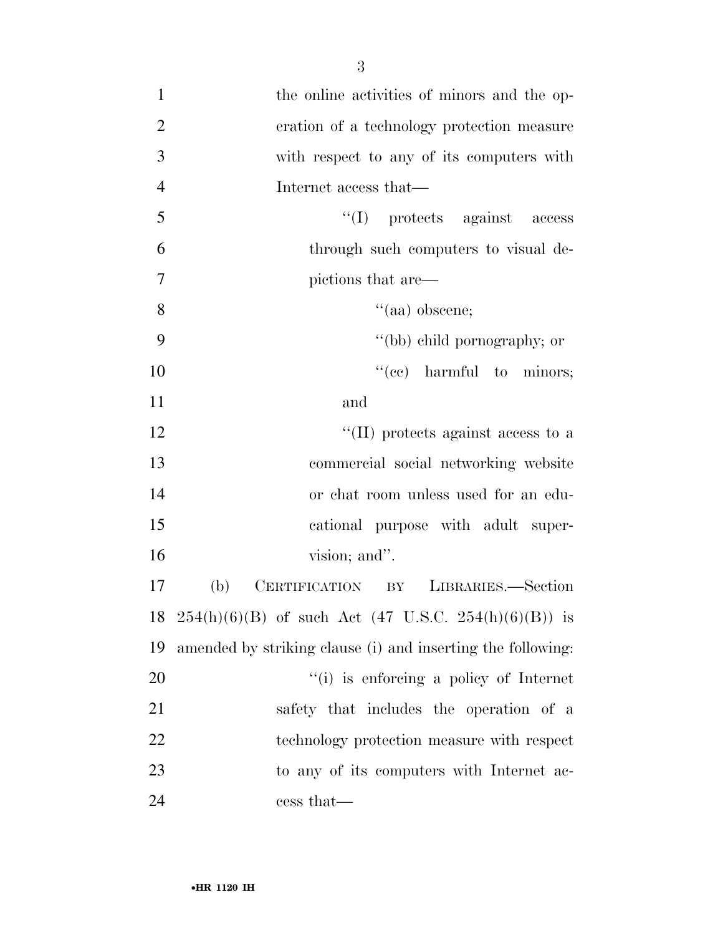1 the online activities of minors and the op- eration of a technology protection measure with respect to any of its computers with Internet access that— ''(I) protects against access through such computers to visual de- pictions that are— 8 ''(aa) obscene; ''(bb) child pornography; or  $"(ce)$  harmful to minors; and  $\frac{12}{12}$  ''(II) protects against access to a commercial social networking website or chat room unless used for an edu- cational purpose with adult super-16 vision; and". (b) CERTIFICATION BY LIBRARIES.—Section 18 254(h)(6)(B) of such Act (47 U.S.C. 254(h)(6)(B)) is amended by striking clause (i) and inserting the following:  $\frac{1}{1}$  is enforcing a policy of Internet safety that includes the operation of a technology protection measure with respect to any of its computers with Internet ac-cess that—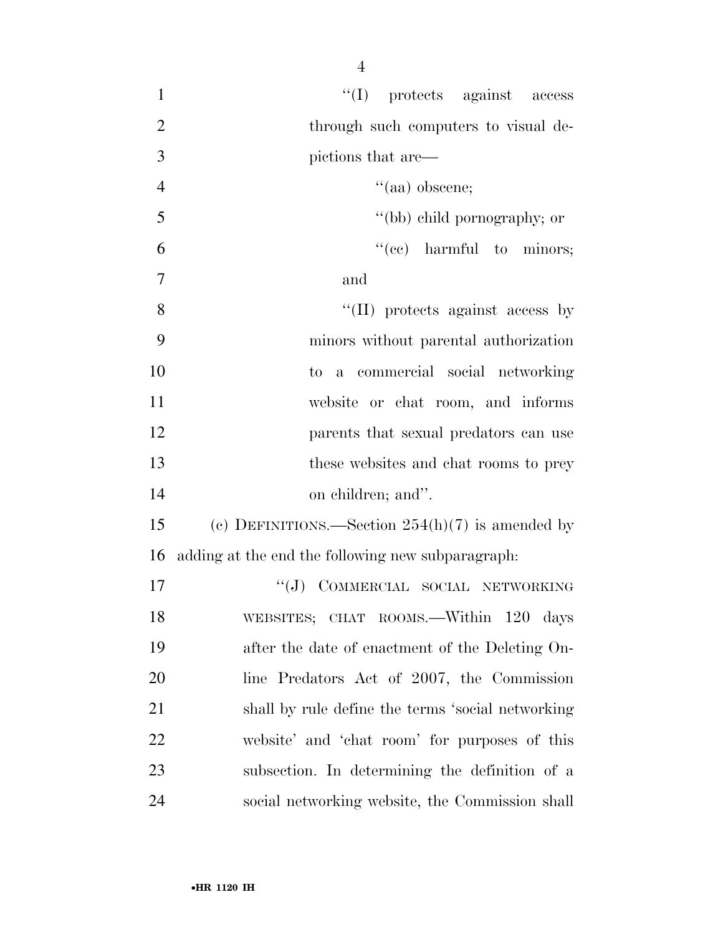| $\mathbf{1}$   | $\lq\lq$ protects against access                   |
|----------------|----------------------------------------------------|
| $\overline{2}$ | through such computers to visual de-               |
| 3              | pictions that are—                                 |
| $\overline{4}$ | $``(aa)$ obscene;                                  |
| 5              | "(bb) child pornography; or                        |
| 6              | "(ce) harmful to minors;                           |
| $\overline{7}$ | and                                                |
| 8              | $\lq\lq$ (II) protects against access by           |
| 9              | minors without parental authorization              |
| 10             | a commercial social networking<br>to.              |
| 11             | website or chat room, and informs                  |
| 12             | parents that sexual predators can use              |
| 13             | these websites and chat rooms to prey              |
| 14             | on children; and".                                 |
| 15             | (c) DEFINITIONS.—Section $254(h)(7)$ is amended by |
| 16             | adding at the end the following new subparagraph:  |
| 17             | "(J) COMMERCIAL SOCIAL NETWORKING                  |
| 18             | WEBSITES; CHAT ROOMS.—Within 120 days              |
| 19             | after the date of enactment of the Deleting On-    |
| 20             | line Predators Act of 2007, the Commission         |
| 21             | shall by rule define the terms 'social networking  |
| 22             | website' and 'chat room' for purposes of this      |
| 23             | subsection. In determining the definition of a     |
| 24             | social networking website, the Commission shall    |
|                |                                                    |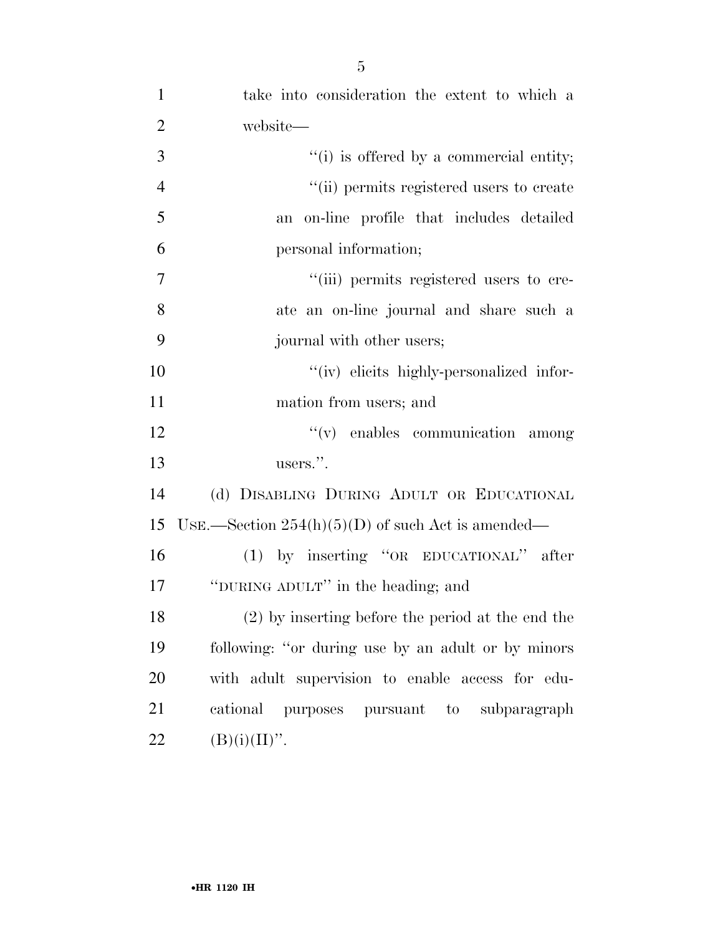| $\mathbf{1}$   | take into consideration the extent to which a       |
|----------------|-----------------------------------------------------|
| $\overline{2}$ | website—                                            |
| 3              | $f'(i)$ is offered by a commercial entity;          |
| $\overline{4}$ | "(ii) permits registered users to create            |
| 5              | an on-line profile that includes detailed           |
| 6              | personal information;                               |
| $\overline{7}$ | "(iii) permits registered users to cre-             |
| 8              | ate an on-line journal and share such a             |
| 9              | journal with other users;                           |
| 10             | "(iv) elicits highly-personalized infor-            |
| 11             | mation from users; and                              |
| 12             | $f'(v)$ enables communication among                 |
| 13             | users.".                                            |
| 14             | (d) DISABLING DURING ADULT OR EDUCATIONAL           |
| 15             | USE.—Section $254(h)(5)(D)$ of such Act is amended— |
| 16             | (1) by inserting "OR EDUCATIONAL" after             |
| 17             | "DURING ADULT" in the heading; and                  |
| 18             | (2) by inserting before the period at the end the   |
| 19             | following: "or during use by an adult or by minors  |
| 20             | with adult supervision to enable access for edu-    |
| 21             | cational purposes pursuant to subparagraph          |
| 22             | $(B)(i)(II)$ ".                                     |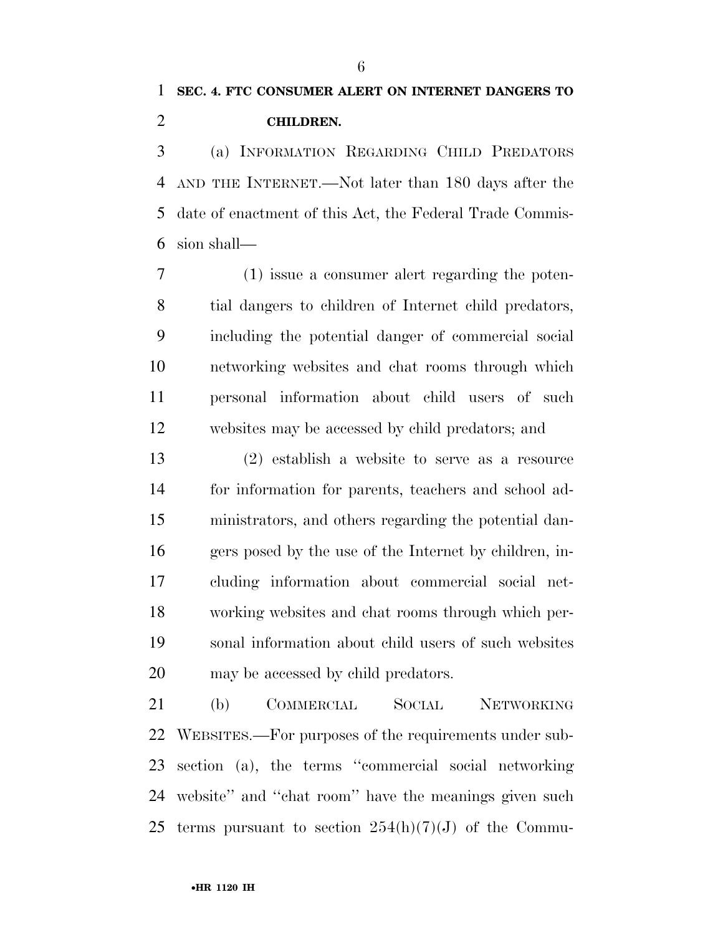# **SEC. 4. FTC CONSUMER ALERT ON INTERNET DANGERS TO CHILDREN.**

 (a) INFORMATION REGARDING CHILD PREDATORS AND THE INTERNET.—Not later than 180 days after the date of enactment of this Act, the Federal Trade Commis-sion shall—

 (1) issue a consumer alert regarding the poten- tial dangers to children of Internet child predators, including the potential danger of commercial social networking websites and chat rooms through which personal information about child users of such websites may be accessed by child predators; and

 (2) establish a website to serve as a resource for information for parents, teachers and school ad- ministrators, and others regarding the potential dan- gers posed by the use of the Internet by children, in- cluding information about commercial social net- working websites and chat rooms through which per- sonal information about child users of such websites may be accessed by child predators.

 (b) COMMERCIAL SOCIAL NETWORKING WEBSITES.—For purposes of the requirements under sub- section (a), the terms ''commercial social networking website'' and ''chat room'' have the meanings given such 25 terms pursuant to section  $254(h)(7)(J)$  of the Commu-